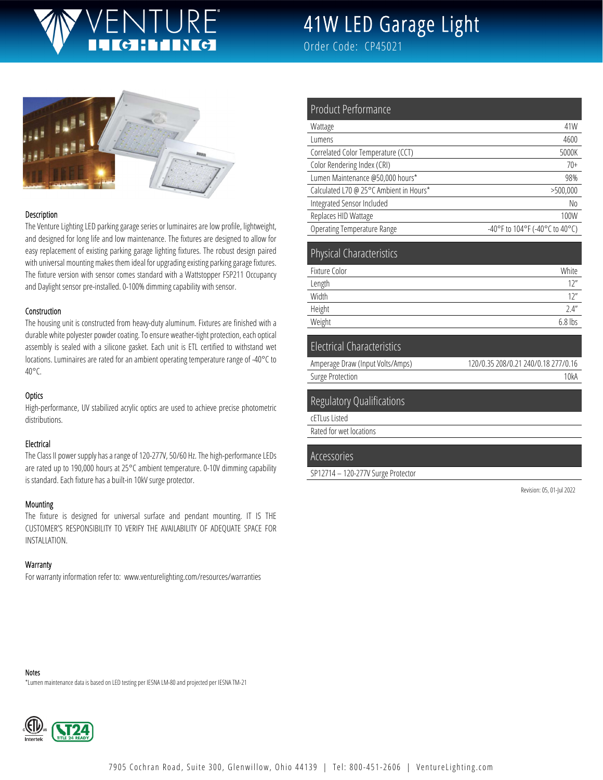# JRF

# 41W LED Garage Light

Order Code: CP45021



#### Description

The Venture Lighting LED parking garage series or luminaires are low profile, lightweight, and designed for long life and low maintenance. The fixtures are designed to allow for easy replacement of existing parking garage lighting fixtures. The robust design paired with universal mounting makes them ideal for upgrading existing parking garage fixtures. The fixture version with sensor comes standard with a Wattstopper FSP211 Occupancy and Daylight sensor pre-installed. 0-100% dimming capability with sensor.

#### Construction

The housing unit is constructed from heavy-duty aluminum. Fixtures are finished with a durable white polyester powder coating. To ensure weather-tight protection, each optical assembly is sealed with a silicone gasket. Each unit is ETL certified to withstand wet locations. Luminaires are rated for an ambient operating temperature range of -40°C to 40°C.

#### **Optics**

High-performance, UV stabilized acrylic optics are used to achieve precise photometric distributions.

#### Electrical

The Class II power supply has a range of 120-277V, 50/60 Hz. The high-performance LEDs are rated up to 190,000 hours at 25°C ambient temperature. 0-10V dimming capability is standard. Each fixture has a built-in 10kV surge protector.

#### Mounting

The fixture is designed for universal surface and pendant mounting. IT IS THE CUSTOMER'S RESPONSIBILITY TO VERIFY THE AVAILABILITY OF ADEQUATE SPACE FOR INSTALLATION.

#### **Warranty**

For warranty information refer to: www.venturelighting.com/resources/warranties

| Product Performance                     |                                |
|-----------------------------------------|--------------------------------|
| Wattage                                 | 41W                            |
| Lumens                                  | 4600                           |
| Correlated Color Temperature (CCT)      | 5000K                          |
| Color Rendering Index (CRI)             | $70+$                          |
| Lumen Maintenance @50,000 hours*        | 98%                            |
| Calculated L70 @ 25°C Ambient in Hours* | >500,000                       |
| Integrated Sensor Included              | No                             |
| Replaces HID Wattage                    | 100W                           |
| Operating Temperature Range             | -40°F to 104°F (-40°C to 40°C) |
|                                         |                                |
| <b>Physical Characteristics</b>         |                                |
| Fixture Color                           | White                          |
| Length                                  | 12"                            |

| Length | $\cdots$  |
|--------|-----------|
| Width  | 17''      |
| Height | 2.4''     |
| Weight | $6.8$ lbs |
|        |           |

#### Electrical Characteristics

| Amperage Draw (Input Volts/Amps) | 120/0.35 208/0.21 240/0.18 277/0.16 |
|----------------------------------|-------------------------------------|
| Surge Protection                 | 10kA                                |
|                                  |                                     |

#### Regulatory Qualifications

cETLus Listed

Rated for wet locations

#### Accessories

SP12714 – 120-277V Surge Protector

Revision: 05, 01-Jul 2022

Notes

\*Lumen maintenance data is based on LED testing per IESNA LM-80 and projected per IESNA TM-21